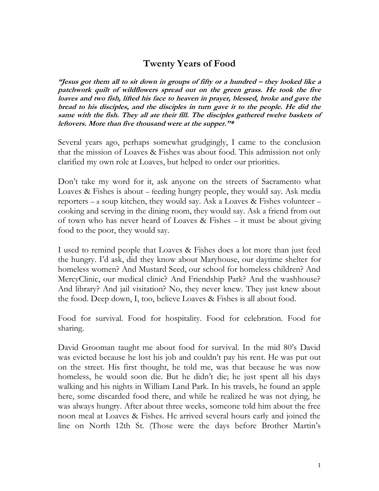## **Twenty Years of Food**

**"Jesus got them all to sit down in groups of fifty or a hundred – they looked like a patchwork quilt of wildflowers spread out on the green grass. He took the five loaves and two fish, lifted his face to heaven in prayer, blessed, broke and gave the bread to his disciples, and the disciples in turn gave it to the people. He did the same with the fish. They all ate their fill. The disciples gathered twelve baskets of leftovers. More than five thousand were at the supper."\***

Several years ago, perhaps somewhat grudgingly, I came to the conclusion that the mission of Loaves & Fishes was about food. This admission not only clarified my own role at Loaves, but helped to order our priorities.

Don't take my word for it, ask anyone on the streets of Sacramento what Loaves & Fishes is about – feeding hungry people, they would say. Ask media reporters – a soup kitchen, they would say. Ask a Loaves & Fishes volunteer – cooking and serving in the dining room, they would say. Ask a friend from out of town who has never heard of Loaves & Fishes – it must be about giving food to the poor, they would say.

I used to remind people that Loaves & Fishes does a lot more than just feed the hungry. I'd ask, did they know about Maryhouse, our daytime shelter for homeless women? And Mustard Seed, our school for homeless children? And MercyClinic, our medical clinic? And Friendship Park? And the washhouse? And library? And jail visitation? No, they never knew. They just knew about the food. Deep down, I, too, believe Loaves & Fishes is all about food.

Food for survival. Food for hospitality. Food for celebration. Food for sharing.

David Grooman taught me about food for survival. In the mid 80's David was evicted because he lost his job and couldn't pay his rent. He was put out on the street. His first thought, he told me, was that because he was now homeless, he would soon die. But he didn't die; he just spent all his days walking and his nights in William Land Park. In his travels, he found an apple here, some discarded food there, and while he realized he was not dying, he was always hungry. After about three weeks, someone told him about the free noon meal at Loaves & Fishes. He arrived several hours early and joined the line on North 12th St. (Those were the days before Brother Martin's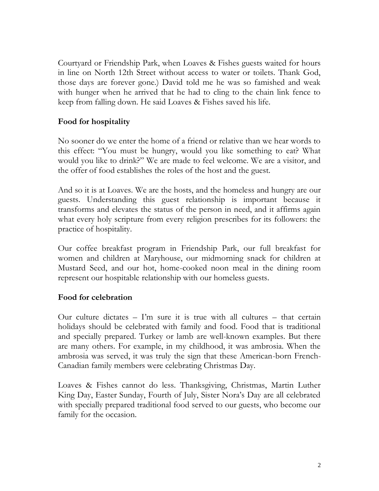Courtyard or Friendship Park, when Loaves & Fishes guests waited for hours in line on North 12th Street without access to water or toilets. Thank God, those days are forever gone.) David told me he was so famished and weak with hunger when he arrived that he had to cling to the chain link fence to keep from falling down. He said Loaves & Fishes saved his life.

## **Food for hospitality**

No sooner do we enter the home of a friend or relative than we hear words to this effect: "You must be hungry, would you like something to eat? What would you like to drink?" We are made to feel welcome. We are a visitor, and the offer of food establishes the roles of the host and the guest.

And so it is at Loaves. We are the hosts, and the homeless and hungry are our guests. Understanding this guest relationship is important because it transforms and elevates the status of the person in need, and it affirms again what every holy scripture from every religion prescribes for its followers: the practice of hospitality.

Our coffee breakfast program in Friendship Park, our full breakfast for women and children at Maryhouse, our midmorning snack for children at Mustard Seed, and our hot, home-cooked noon meal in the dining room represent our hospitable relationship with our homeless guests.

## **Food for celebration**

Our culture dictates – I'm sure it is true with all cultures – that certain holidays should be celebrated with family and food. Food that is traditional and specially prepared. Turkey or lamb are well-known examples. But there are many others. For example, in my childhood, it was ambrosia. When the ambrosia was served, it was truly the sign that these American-born French-Canadian family members were celebrating Christmas Day.

Loaves & Fishes cannot do less. Thanksgiving, Christmas, Martin Luther King Day, Easter Sunday, Fourth of July, Sister Nora's Day are all celebrated with specially prepared traditional food served to our guests, who become our family for the occasion.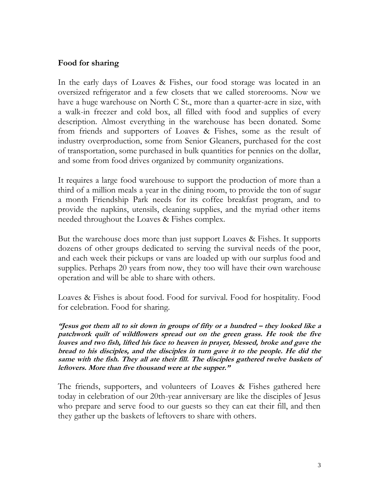## **Food for sharing**

In the early days of Loaves & Fishes, our food storage was located in an oversized refrigerator and a few closets that we called storerooms. Now we have a huge warehouse on North C St., more than a quarter-acre in size, with a walk-in freezer and cold box, all filled with food and supplies of every description. Almost everything in the warehouse has been donated. Some from friends and supporters of Loaves & Fishes, some as the result of industry overproduction, some from Senior Gleaners, purchased for the cost of transportation, some purchased in bulk quantities for pennies on the dollar, and some from food drives organized by community organizations.

It requires a large food warehouse to support the production of more than a third of a million meals a year in the dining room, to provide the ton of sugar a month Friendship Park needs for its coffee breakfast program, and to provide the napkins, utensils, cleaning supplies, and the myriad other items needed throughout the Loaves & Fishes complex.

But the warehouse does more than just support Loaves & Fishes. It supports dozens of other groups dedicated to serving the survival needs of the poor, and each week their pickups or vans are loaded up with our surplus food and supplies. Perhaps 20 years from now, they too will have their own warehouse operation and will be able to share with others.

Loaves & Fishes is about food. Food for survival. Food for hospitality. Food for celebration. Food for sharing.

**"Jesus got them all to sit down in groups of fifty or a hundred – they looked like a patchwork quilt of wildflowers spread out on the green grass. He took the five loaves and two fish, lifted his face to heaven in prayer, blessed, broke and gave the bread to his disciples, and the disciples in turn gave it to the people. He did the same with the fish. They all ate their fill. The disciples gathered twelve baskets of leftovers. More than five thousand were at the supper."**

The friends, supporters, and volunteers of Loaves & Fishes gathered here today in celebration of our 20th-year anniversary are like the disciples of Jesus who prepare and serve food to our guests so they can eat their fill, and then they gather up the baskets of leftovers to share with others.